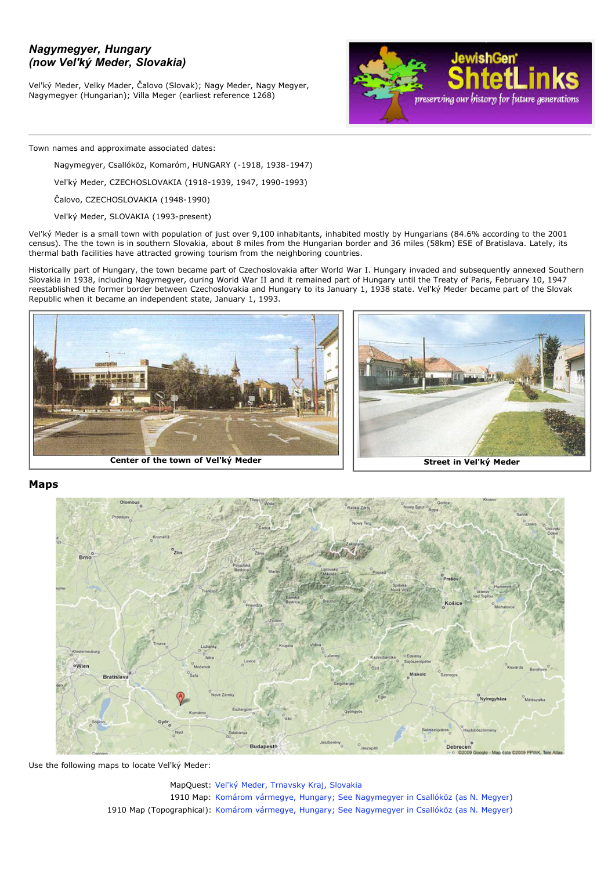# *Nagymegyer, Hungary (now Vel'ký Meder, Slovakia)*

Vel'ký Meder, Velky Mader, Čalovo (Slovak); Nagy Meder, Nagy Megyer, Nagymegyer (Hungarian); Villa Meger (earliest reference 1268)



Town names and approximate associated dates:

Nagymegyer, Csallóköz, Komaróm, HUNGARY (-1918, 1938-1947)

Vel'ký Meder, CZECHOSLOVAKIA (1918-1939, 1947, 1990-1993)

Čalovo, CZECHOSLOVAKIA (1948-1990)

Vel'ký Meder, SLOVAKIA (1993-present)

Vel'ký Meder is a small town with population of just over 9,100 inhabitants, inhabited mostly by Hungarians (84.6% according to the 2001 census). The the town is in southern Slovakia, about 8 miles from the Hungarian border and 36 miles (58km) ESE of Bratislava. Lately, its thermal bath facilities have attracted growing tourism from the neighboring countries.

Historically part of Hungary, the town became part of Czechoslovakia after World War I. Hungary invaded and subsequently annexed Southern Slovakia in 1938, including Nagymegyer, during World War II and it remained part of Hungary until the Treaty of Paris, February 10, 1947 reestablished the former border between Czechoslovakia and Hungary to its January 1, 1938 state. Vel'ký Meder became part of the Slovak Republic when it became an independent state, January 1, 1993.





## **Maps**



Use the following maps to locate Vel'ký Meder:

MapQuest: Vel'ký [Meder, Trnavsky Kraj, Slovakia](http://atlas.mapquest.com/maps/map.adp?formtype=address&country=SK&addtohistory=&city=velky+meder) 1910 Map: [Komárom vármegye, Hungary; See Nagymegyer in Csallóköz \(as N. Megyer\)](http://lazarus.elte.hu/hun/maps/1910/komarom.jpg) 1910 Map (Topographical): [Komárom vármegye, Hungary; See Nagymegyer in Csallóköz \(as N. Megyer\)](http://lazarus.elte.hu/hun/maps/1910/gonczy/komarom.jpg)